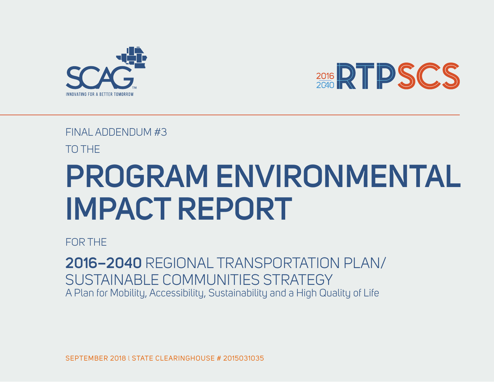



### FINAL ADDENDUM #3

TO THE

# **PROGRAM ENVIRONMENTAL IMPACT REPORT**

FOR THE

**2016–2040** REGIONAL TRANSPORTATION PLAN/ SUSTAINABLE COMMUNITIES STRATEGY A Plan for Mobility, Accessibility, Sustainability and a High Quality of Life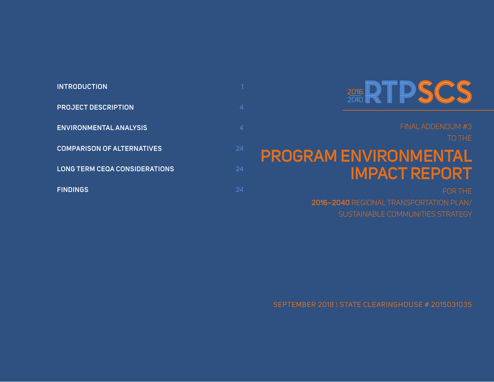## 2016 RTPSCS

#### FINAL ADDENDUM #3

TO THE

## **PROGRAM ENVIRONMENTAL IMPACT REPORT**

FOR THE

**2016–2040** REGIONAL TRANSPORTATION PLAN/ SUSTAINABLE COMMUNITIES STRATEGY

SEPTEMBER 2018 l STATE CLEARINGHOUSE # 2015031035

| <b>INTRODUCTION</b>                  |    |
|--------------------------------------|----|
| <b>PROJECT DESCRIPTION</b>           |    |
| <b>ENVIRONMENTAL ANALYSIS</b>        |    |
| <b>COMPARISON OF ALTERNATIVES</b>    | 24 |
| <b>LONG TERM CEQA CONSIDERATIONS</b> | 24 |
| <b>FINDINGS</b>                      |    |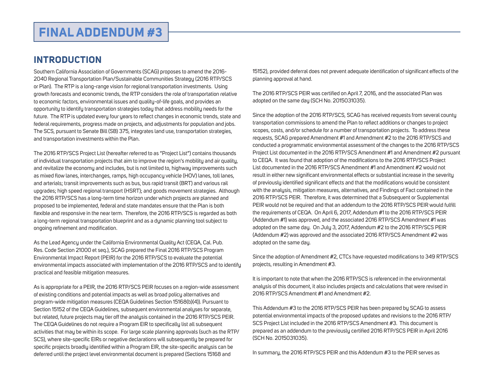### <span id="page-2-0"></span>**FINAL ADDENDUM #3**

#### **INTRODUCTION**

Southern California Association of Governments (SCAG) proposes to amend the 2016- 2040 Regional Transportation Plan/Sustainable Communities Strategy (2016 RTP/SCS or Plan). The RTP is a long-range vision for regional transportation investments. Using growth forecasts and economic trends, the RTP considers the role of transportation relative to economic factors, environmental issues and quality-of-life goals, and provides an opportunity to identify transportation strategies today that address mobility needs for the future. The RTP is updated every four years to reflect changes in economic trends, state and federal requirements, progress made on projects, and adjustments for population and jobs. The SCS, pursuant to Senate Bill (SB) 375, integrates land use, transportation strategies, and transportation investments within the Plan.

The 2016 RTP/SCS Project List (hereafter referred to as "Project List") contains thousands of individual transportation projects that aim to improve the region's mobility and air quality, and revitalize the economy and includes, but is not limited to, highway improvements such as mixed flow lanes, interchanges, ramps, high occupancy vehicle (HOV) lanes, toll lanes, and arterials; transit improvements such as bus, bus rapid transit (BRT) and various rail upgrades; high speed regional transport (HSRT); and goods movement strategies. Although the 2016 RTP/SCS has a long-term time horizon under which projects are planned and proposed to be implemented, federal and state mandates ensure that the Plan is both flexible and responsive in the near term. Therefore, the 2016 RTP/SCS is regarded as both a long-term regional transportation blueprint and as a dynamic planning tool subject to ongoing refinement and modification.

As the Lead Agency under the California Environmental Quality Act (CEQA, Cal. Pub. Res. Code Section 21000 et seq.), SCAG prepared the Final 2016 RTP/SCS Program Environmental Impact Report (PEIR) for the 2016 RTP/SCS to evaluate the potential environmental impacts associated with implementation of the 2016 RTP/SCS and to identify practical and feasible mitigation measures.

As is appropriate for a PEIR, the 2016 RTP/SCS PEIR focuses on a region-wide assessment of existing conditions and potential impacts as well as broad policy alternatives and program-wide mitigation measures (CEQA Guidelines Section 15168(b)(4)). Pursuant to Section 15152 of the CEQA Guidelines, subsequent environmental analyses for separate, but related, future projects may tier off the analysis contained in the 2016 RTP/SCS PEIR. The CEQA Guidelines do not require a Program EIR to specifically list all subsequent activities that may be within its scope. For large scale planning approvals (such as the RTP/ SCS), where site-specific EIRs or negative declarations will subsequently be prepared for specific projects broadly identified within a Program EIR, the site-specific analysis can be deferred until the project level environmental document is prepared (Sections 15168 and

15152), provided deferral does not prevent adequate identification of significant effects of the planning approval at hand.

The 2016 RTP/SCS PEIR was certified on April 7, 2016, and the associated Plan was adopted on the same day (SCH No. 2015031035).

Since the adoption of the 2016 RTP/SCS, SCAG has received requests from several county transportation commissions to amend the Plan to reflect additions or changes to project scopes, costs, and/or schedule for a number of transportation projects. To address these requests, SCAG prepared Amendment #1 and Amendment #2 to the 2016 RTP/SCS and conducted a programmatic environmental assessment of the changes to the 2016 RTP/SCS Project List documented in the 2016 RTP/SCS Amendment #1 and Amendment #2 pursuant to CEQA. It was found that adoption of the modifications to the 2016 RTP/SCS Project List documented in the 2016 RTP/SCS Amendment #1 and Amendment #2 would not result in either new significant environmental effects or substantial increase in the severity of previously identified significant effects and that the modifications would be consistent with the analysis, mitigation measures, alternatives, and Findings of Fact contained in the 2016 RTP/SCS PEIR. Therefore, it was determined that a Subsequent or Supplemental PEIR would not be required and that an addendum to the 2016 RTP/SCS PEIR would fulfill the requirements of CEQA. On April 6, 2017, Addendum #1 to the 2016 RTP/SCS PEIR (Addendum #1) was approved, and the associated 2016 RTP/SCS Amendment #1 was adopted on the same day. On July 3, 2017, Addendum #2 to the 2016 RTP/SCS PEIR (Addendum #2) was approved and the associated 2016 RTP/SCS Amendment #2 was adopted on the same day.

Since the adoption of Amendment #2, CTCs have requested modifications to 349 RTP/SCS projects, resulting in Amendment #3.

It is important to note that when the 2016 RTP/SCS is referenced in the environmental analysis of this document, it also includes projects and calculations that were revised in 2016 RTP/SCS Amendment #1 and Amendment #2.

This Addendum #3 to the 2016 RTP/SCS PEIR has been prepared by SCAG to assess potential environmental impacts of the proposed updates and revisions to the 2016 RTP/ SCS Project List included in the 2016 RTP/SCS Amendment #3. This document is prepared as an addendum to the previously certified 2016 RTP/SCS PEIR in April 2016 (SCH No. 2015031035).

In summary, the 2016 RTP/SCS PEIR and this Addendum #3 to the PEIR serves as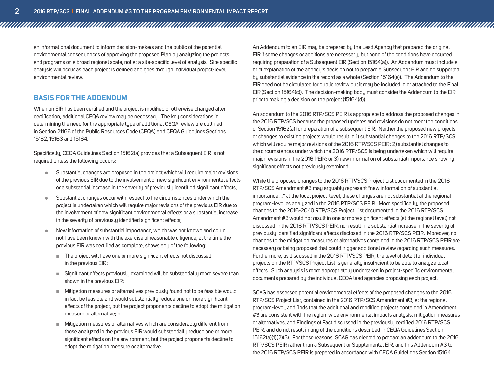an informational document to inform decision-makers and the public of the potential environmental consequences of approving the proposed Plan by analyzing the projects and programs on a broad regional scale, not at a site-specific level of analysis. Site specific analysis will occur as each project is defined and goes through individual project-level environmental review.

#### **BASIS FOR THE ADDENDUM**

When an EIR has been certified and the project is modified or otherwise changed after certification, additional CEQA review may be necessary. The key considerations in determining the need for the appropriate type of additional CEQA review are outlined in Section 21166 of the Public Resources Code (CEQA) and CEQA Guidelines Sections 15162, 15163 and 15164.

Specifically, CEQA Guidelines Section 15162(a) provides that a Subsequent EIR is not required unless the following occurs:

- Substantial changes are proposed in the project which will require major revisions of the previous EIR due to the involvement of new significant environmental effects or a substantial increase in the severity of previously identified significant effects;
- **Substantial changes occur with respect to the circumstances under which the** project is undertaken which will require major revisions of the previous EIR due to the involvement of new significant environmental effects or a substantial increase in the severity of previously identified significant effects;
- New information of substantial importance, which was not known and could not have been known with the exercise of reasonable diligence, at the time the previous EIR was certified as complete, shows any of the following:
	- The project will have one or more significant effects not discussed in the previous EIR;
	- Significant effects previously examined will be substantially more severe than shown in the previous EIR;
	- Mitigation measures or alternatives previously found not to be feasible would in fact be feasible and would substantially reduce one or more significant effects of the project, but the project proponents decline to adopt the mitigation measure or alternative; or
	- Mitigation measures or alternatives which are considerably different from those analyzed in the previous EIR would substantially reduce one or more significant effects on the environment, but the project proponents decline to adopt the mitigation measure or alternative.

An Addendum to an EIR may be prepared by the Lead Agency that prepared the original EIR if some changes or additions are necessary, but none of the conditions have occurred requiring preparation of a Subsequent EIR (Section 15164(a)). An Addendum must include a brief explanation of the agency's decision not to prepare a Subsequent EIR and be supported by substantial evidence in the record as a whole (Section 15164(e)). The Addendum to the EIR need not be circulated for public review but it may be included in or attached to the Final EIR (Section 15164(c)). The decision-making body must consider the Addendum to the EIR prior to making a decision on the project (15164(d)).

An addendum to the 2016 RTP/SCS PEIR is appropriate to address the proposed changes in the 2016 RTP/SCS because the proposed updates and revisions do not meet the conditions of Section 15162(a) for preparation of a subsequent EIR. Neither the proposed new projects or changes to existing projects would result in 1) substantial changes to the 2016 RTP/SCS which will require major revisions of the 2016 RTP/SCS PEIR; 2) substantial changes to the circumstances under which the 2016 RTP/SCS is being undertaken which will require major revisions in the 2016 PEIR; or 3) new information of substantial importance showing significant effects not previously examined.

While the proposed changes to the 2016 RTP/SCS Project List documented in the 2016 RTP/SCS Amendment #3 may arguably represent "new information of substantial importance …" at the local project-level, these changes are not substantial at the regional program-level as analyzed in the 2016 RTP/SCS PEIR. More specifically, the proposed changes to the 2016-2040 RTP/SCS Project List documented in the 2016 RTP/SCS Amendment #3 would not result in one or more significant effects (at the regional level) not discussed in the 2016 RTP/SCS PEIR, nor result in a substantial increase in the severity of previously identified significant effects disclosed in the 2016 RTP/SCS PEIR. Moreover, no changes to the mitigation measures or alternatives contained in the 2016 RTP/SCS PEIR are necessary or being proposed that could trigger additional review regarding such measures. Furthermore, as discussed in the 2016 RTP/SCS PEIR, the level of detail for individual projects on the RTP/SCS Project List is generally insufficient to be able to analyze local effects. Such analysis is more appropriately undertaken in project-specific environmental documents prepared by the individual CEQA lead agencies proposing each project.

SCAG has assessed potential environmental effects of the proposed changes to the 2016 RTP/SCS Project List, contained in the 2016 RTP/SCS Amendment #3, at the regional program-level, and finds that the additional and modified projects contained in Amendment #3 are consistent with the region-wide environmental impacts analysis, mitigation measures or alternatives, and Findings of Fact discussed in the previously certified 2016 RTP/SCS PEIR, and do not result in any of the conditions described in CEQA Guidelines Section 15162(a)(1)(2)(3). For these reasons, SCAG has elected to prepare an addendum to the 2016 RTP/SCS PEIR rather than a Subsequent or Supplemental EIR, and this Addendum #3 to the 2016 RTP/SCS PEIR is prepared in accordance with CEQA Guidelines Section 15164.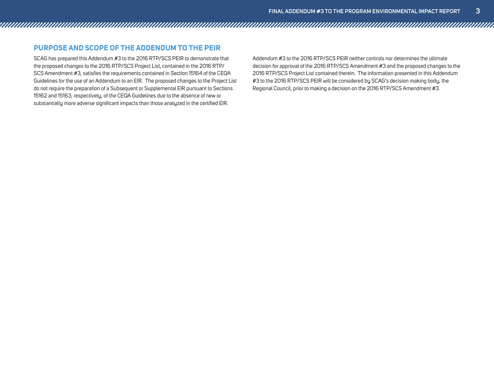#### **PURPOSE AND SCOPE OF THE ADDENDUM TO THE PEIR**

SCAG has prepared this Addendum #3 to the 2016 RTP/SCS PEIR to demonstrate that the proposed changes to the 2016 RTP/SCS Project List, contained in the 2016 RTP/ SCS Amendment #3, satisfies the requirements contained in Section 15164 of the CEQA Guidelines for the use of an Addendum to an EIR. The proposed changes to the Project List do not require the preparation of a Subsequent or Supplemental EIR pursuant to Sections 15162 and 15163, respectively, of the CEQA Guidelines due to the absence of new or substantially more adverse significant impacts than those analyzed in the certified EIR.

Addendum #3 to the 2016 RTP/SCS PEIR neither controls nor determines the ultimate decision for approval of the 2016 RTP/SCS Amendment #3 and the proposed changes to the 2016 RTP/SCS Project List contained therein. The information presented in this Addendum #3 to the 2016 RTP/SCS PEIR will be considered by SCAG's decision making body, the Regional Council, prior to making a decision on the 2016 RTP/SCS Amendment #3.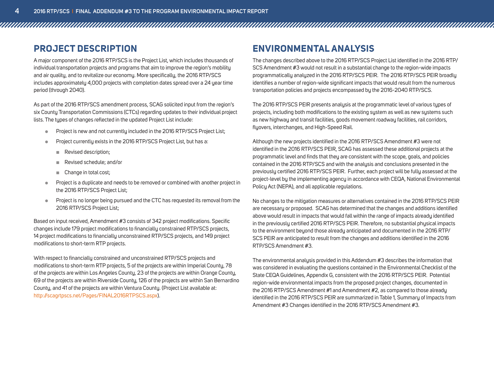#### <span id="page-5-0"></span>**PROJECT DESCRIPTION**

A major component of the 2016 RTP/SCS is the Project List, which includes thousands of individual transportation projects and programs that aim to improve the region's mobility and air quality, and to revitalize our economy. More specifically, the 2016 RTP/SCS includes approximately 4,000 projects with completion dates spread over a 24 year time period (through 2040).

As part of the 2016 RTP/SCS amendment process, SCAG solicited input from the region's six County Transportation Commissions (CTCs) regarding updates to their individual project lists. The types of changes reflected in the updated Project List include:

- Project is new and not currently included in the 2016 RTP/SCS Project List;
- Project currently exists in the 2016 RTP/SCS Project List, but has a:
	- Revised description;
	- Revised schedule; and/or
	- Change in total cost:
- Project is a duplicate and needs to be removed or combined with another project in the 2016 RTP/SCS Project List;
- Project is no longer being pursued and the CTC has requested its removal from the 2016 RTP/SCS Project List;

Based on input received, Amendment #3 consists of 342 project modifications. Specific changes include 179 project modifications to financially constrained RTP/SCS projects, 14 project modifications to financially unconstrained RTP/SCS projects, and 149 project modifications to short-term RTP projects.

With respect to financially constrained and unconstrained RTP/SCS projects and modifications to short-term RTP projects, 5 of the projects are within Imperial County, 78 of the projects are within Los Angeles County, 23 of the projects are within Orange County, 69 of the projects are within Riverside County, 126 of the projects are within San Bernardino County, and 41 of the projects are within Ventura County. (Project List available at: http://scagrtpscs.net/Pages/FINAL2016RTPSCS.aspx).

### **ENVIRONMENTAL ANALYSIS**

The changes described above to the 2016 RTP/SCS Project List identified in the 2016 RTP/ SCS Amendment #3 would not result in a substantial change to the region-wide impacts programmatically analyzed in the 2016 RTP/SCS PEIR. The 2016 RTP/SCS PEIR broadly identifies a number of region-wide significant impacts that would result from the numerous transportation policies and projects encompassed by the 2016-2040 RTP/SCS.

The 2016 RTP/SCS PEIR presents analysis at the programmatic level of various types of projects, including both modifications to the existing system as well as new systems such as new highway and transit facilities, goods movement roadway facilities, rail corridors, flyovers, interchanges, and High-Speed Rail.

Although the new projects identified in the 2016 RTP/SCS Amendment #3 were not identified in the 2016 RTP/SCS PEIR, SCAG has assessed these additional projects at the programmatic level and finds that they are consistent with the scope, goals, and policies contained in the 2016 RTP/SCS and with the analysis and conclusions presented in the previously certified 2016 RTP/SCS PEIR. Further, each project will be fully assessed at the project-level by the implementing agency in accordance with CEQA, National Environmental Policy Act (NEPA), and all applicable regulations.

No changes to the mitigation measures or alternatives contained in the 2016 RTP/SCS PEIR are necessary or proposed. SCAG has determined that the changes and additions identified above would result in impacts that would fall within the range of impacts already identified in the previously certified 2016 RTP/SCS PEIR. Therefore, no substantial physical impacts to the environment beyond those already anticipated and documented in the 2016 RTP/ SCS PEIR are anticipated to result from the changes and additions identified in the 2016 RTP/SCS Amendment #3.

The environmental analysis provided in this Addendum #3 describes the information that was considered in evaluating the questions contained in the Environmental Checklist of the State CEQA Guidelines, Appendix G, consistent with the 2016 RTP/SCS PEIR. Potential region-wide environmental impacts from the proposed project changes, documented in the 2016 RTP/SCS Amendment #1 and Amendment #2, as compared to those already identified in the 2016 RTP/SCS PEIR are summarized in Table 1, Summary of Impacts from Amendment #3 Changes identified in the 2016 RTP/SCS Amendment #3.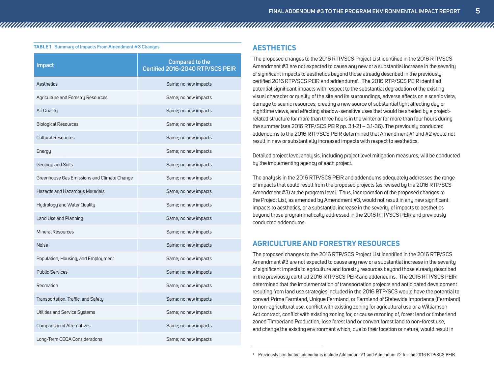#### **TABLE 1** Summary of Impacts From Amendment #3 Changes **AESTHETICS**

| <b>Impact</b>                               | <b>Compared to the</b><br>Certified 2016-2040 RTP/SCS PEIR |
|---------------------------------------------|------------------------------------------------------------|
| Aesthetics                                  | Same; no new impacts                                       |
| Agriculture and Forestry Resources          | Same; no new impacts                                       |
| Air Quality                                 | Same; no new impacts                                       |
| <b>Biological Resources</b>                 | Same; no new impacts                                       |
| <b>Cultural Resources</b>                   | Same; no new impacts                                       |
| Energy                                      | Same; no new impacts                                       |
| Geology and Soils                           | Same; no new impacts                                       |
| Greenhouse Gas Emissions and Climate Change | Same; no new impacts                                       |
| <b>Hazards and Hazardous Materials</b>      | Same; no new impacts                                       |
| Hydrology and Water Quality                 | Same; no new impacts                                       |
| Land Use and Planning                       | Same; no new impacts                                       |
| <b>Mineral Resources</b>                    | Same; no new impacts                                       |
| <b>Noise</b>                                | Same; no new impacts                                       |
| Population, Housing, and Employment         | Same; no new impacts                                       |
| <b>Public Services</b>                      | Same; no new impacts                                       |
| Recreation                                  | Same; no new impacts                                       |
| Transportation, Traffic, and Safety         | Same; no new impacts                                       |
| Utilities and Service Systems               | Same; no new impacts                                       |
| Comparison of Alternatives                  | Same; no new impacts                                       |
| Long-Term CEQA Considerations               | Same; no new impacts                                       |

The proposed changes to the 2016 RTP/SCS Project List identified in the 2016 RTP/SCS Amendment #3 are not expected to cause any new or a substantial increase in the severity of significant impacts to aesthetics beyond those already described in the previously certified 2016 RTP/SCS PEIR and addendums<sup>1</sup>. The 2016 RTP/SCS PEIR identified potential significant impacts with respect to the substantial degradation of the existing visual character or quality of the site and its surroundings, adverse effects on a scenic vista, damage to scenic resources, creating a new source of substantial light affecting day or nighttime views, and affecting shadow-sensitive uses that would be shaded by a projectrelated structure for more than three hours in the winter or for more than four hours during the summer (see 2016 RTP/SCS PEIR pp. 3.1-21 – 3.1-36). The previously conducted addendums to the 2016 RTP/SCS PEIR determined that Amendment #1 and #2 would not result in new or substantially increased impacts with respect to aesthetics.

Detailed project level analysis, including project level mitigation measures, will be conducted by the implementing agency of each project.

The analysis in the 2016 RTP/SCS PEIR and addendums adequately addresses the range of impacts that could result from the proposed projects (as revised by the 2016 RTP/SCS Amendment #3) at the program level. Thus, incorporation of the proposed changes to the Project List, as amended by Amendment #3, would not result in any new significant impacts to aesthetics, or a substantial increase in the severity of impacts to aesthetics beyond those programmatically addressed in the 2016 RTP/SCS PEIR and previously conducted addendums.

#### **AGRICULTURE AND FORESTRY RESOURCES**

The proposed changes to the 2016 RTP/SCS Project List identified in the 2016 RTP/SCS Amendment #3 are not expected to cause any new or a substantial increase in the severity of significant impacts to agriculture and forestry resources beyond those already described in the previously certified 2016 RTP/SCS PEIR and addendums. The 2016 RTP/SCS PEIR determined that the implementation of transportation projects and anticipated development resulting from land use strategies included in the 2016 RTP/SCS would have the potential to convert Prime Farmland, Unique Farmland, or Farmland of Statewide Importance (Farmland) to non-agricultural use, conflict with existing zoning for agricultural use or a Williamson Act contract, conflict with existing zoning for, or cause rezoning of, forest land or timberland zoned Timberland Production, lose forest land or convert forest land to non-forest use, and change the existing environment which, due to their location or nature, would result in

<sup>1</sup> Previously conducted addendums include Addendum #1 and Addendum #2 for the 2016 RTP/SCS PEIR.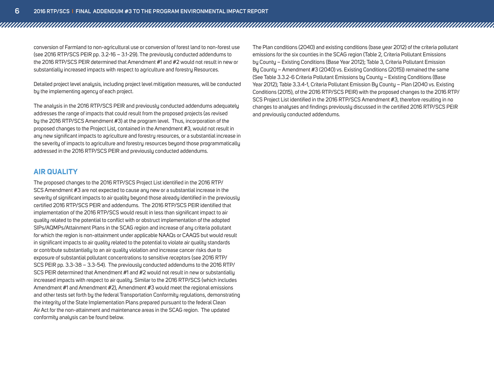conversion of Farmland to non-agricultural use or conversion of forest land to non-forest use (see 2016 RTP/SCS PEIR pp. 3.2-16 – 3.1-29). The previously conducted addendums to the 2016 RTP/SCS PEIR determined that Amendment #1 and #2 would not result in new or substantially increased impacts with respect to agriculture and forestry Resources.

Detailed project level analysis, including project level mitigation measures, will be conducted by the implementing agency of each project.

The analysis in the 2016 RTP/SCS PEIR and previously conducted addendums adequately addresses the range of impacts that could result from the proposed projects (as revised by the 2016 RTP/SCS Amendment #3) at the program level. Thus, incorporation of the proposed changes to the Project List, contained in the Amendment #3, would not result in any new significant impacts to agriculture and forestry resources, or a substantial increase in the severity of impacts to agriculture and forestry resources beyond those programmatically addressed in the 2016 RTP/SCS PEIR and previously conducted addendums.

#### **AIR QUALITY**

The proposed changes to the 2016 RTP/SCS Project List identified in the 2016 RTP/ SCS Amendment #3 are not expected to cause any new or a substantial increase in the severity of significant impacts to air quality beyond those already identified in the previously certified 2016 RTP/SCS PEIR and addendums. The 2016 RTP/SCS PEIR identified that implementation of the 2016 RTP/SCS would result in less than significant impact to air quality related to the potential to conflict with or obstruct implementation of the adopted SIPs/AQMPs/Attainment Plans in the SCAG region and increase of any criteria pollutant for which the region is non-attainment under applicable NAAQs or CAAQS but would result in significant impacts to air quality related to the potential to violate air quality standards or contribute substantially to an air quality violation and increase cancer risks due to exposure of substantial pollutant concentrations to sensitive receptors (see 2016 RTP/ SCS PEIR pp. 3.3-38 – 3.3-54). The previously conducted addendums to the 2016 RTP/ SCS PEIR determined that Amendment #1 and #2 would not result in new or substantially increased impacts with respect to air quality. Similar to the 2016 RTP/SCS (which includes Amendment #1 and Amendment #2), Amendment #3 would meet the regional emissions and other tests set forth by the federal Transportation Conformity regulations, demonstrating the integrity of the State Implementation Plans prepared pursuant to the federal Clean Air Act for the non-attainment and maintenance areas in the SCAG region. The updated conformity analysis can be found below.

The Plan conditions (2040) and existing conditions (base year 2012) of the criteria pollutant emissions for the six counties in the SCAG region (Table 2, Criteria Pollutant Emissions by County – Existing Conditions (Base Year 2012); Table 3, Criteria Pollutant Emission By County – Amendment #3 (2040) vs. Existing Conditions (2015)) remained the same (See Table 3.3.2-6 Criteria Pollutant Emissions by County – Existing Conditions (Base Year 2012); Table 3.3.4-1, Criteria Pollutant Emission By County – Plan (2040 vs. Existing Conditions (2015), of the 2016 RTP/SCS PEIR) with the proposed changes to the 2016 RTP/ SCS Project List identified in the 2016 RTP/SCS Amendment #3, therefore resulting in no changes to analyses and findings previously discussed in the certified 2016 RTP/SCS PEIR and previously conducted addendums.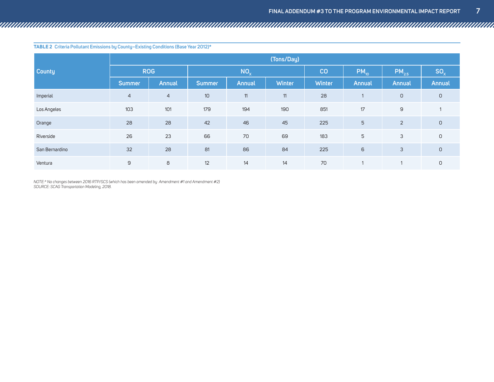**Table 2 Criteria Pollutant Emissions by County–Existing Conditions (Base Year 2012)\* County (Tons/Day)**  $\mathsf{ROG}$  **NO<sub>x</sub> NO<sub>x</sub> CO**  $\big|$   $\mathsf{PM}_{10}$   $\big|$   $\mathsf{PM}_{2.5}$   $\big|$   $\mathsf{SO}_{\chi}$ **Summer Annual Summer Annual Winter Winter Annual Annual Annual** Imperial | 4 4 10 11 11 28 1 0 0 Los Angeles 103 103 101 179 194 190 1951 1951 17 9 17 Orange 28 28 42 46 45 225 5 2 0 Riverside 26 23 66 70 69 183 5 3 0 San Bernardino 32 28 81 86 84 225 6 3 0 Ventura 9 8 12 14 14 70 1 1 0

*NOTE:\* No changes between 2016 RTP/SCS (which has been amended by Amendment #1 and Amendment #2) SOURCE: SCAG Transportation Modeling, 2018.*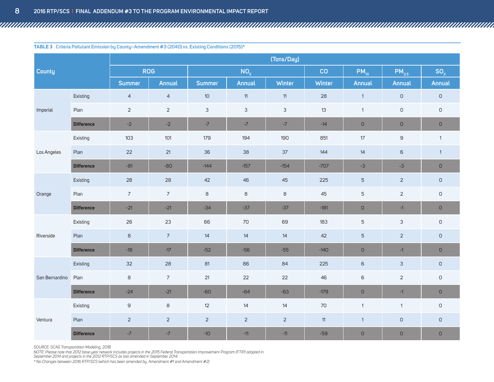|  |  |  | <b>TABLE 3</b> Criteria Pollutant Emission by County–Amendment #3 (2040) vs. Existing Conditions (2015)* |
|--|--|--|----------------------------------------------------------------------------------------------------------|
|--|--|--|----------------------------------------------------------------------------------------------------------|

| (Tons/Day)     |                   |                |                 |                |                |                |               |                     |                |              |
|----------------|-------------------|----------------|-----------------|----------------|----------------|----------------|---------------|---------------------|----------------|--------------|
| <b>County</b>  |                   |                | <b>ROG</b>      |                | $NO_{x}$       |                | CO            | $PM_{10}$           | $PM_{2.5}$     | $SO_{x}$     |
|                |                   | <b>Summer</b>  | Annual          | <b>Summer</b>  | Annual         | <b>Winter</b>  | <b>Winter</b> | Annual              | Annual         | Annual       |
|                | Existing          | $\overline{4}$ | $\overline{4}$  | 10             | $11$           | 11             | 28            | $\mathbf{1}$        | $\circ$        | $\mathsf D$  |
| Imperial       | Plan              | $\overline{2}$ | $\overline{2}$  | $\mathsf 3$    | $\mathfrak{S}$ | $\mathfrak{S}$ | 13            | $\mathbf{1}$        | $\mathsf D$    | $\mathsf D$  |
|                | <b>Difference</b> | $-2$           | $-2$            | $-7$           | $-7$           | $-7$           | $-14$         | $\cup$              | $\mathsf D$    | $\mathsf D$  |
|                | Existing          | 103            | 101             | 179            | 194            | 190            | 851           | 17                  | 9              | $\mathbf{1}$ |
| Los Angeles    | Plan              | 22             | 21              | 36             | 38             | 37             | 144           | 14                  | 6              | $\mathbf{1}$ |
|                | <b>Difference</b> | $-81$          | $-80$           | $-144$         | $-157$         | $-154$         | $-707$        | $-3$                | $-3$           | $\mathsf D$  |
|                | Existing          | 28             | 28              | 42             | 46             | 45             | 225           | $\overline{5}$      | $\overline{2}$ | $\mathsf D$  |
| Orange         | Plan              | $\overline{7}$ | $\overline{7}$  | $\,$ 8         | $\,$ 8 $\,$    | 8              | 45            | $\mathbf 5$         | $\overline{2}$ | $\mathsf D$  |
|                | <b>Difference</b> | $-21$          | $-21$           | $-34$          | $-37$          | $-37$          | $-181$        | $\overline{O}$      | $-1$           | $\mathsf D$  |
|                | Existing          | 26             | 23              | 66             | 70             | 69             | 183           | 5                   | $\mathsf 3$    | $\mathsf D$  |
| Riverside      | Plan              | 8              | $7\overline{ }$ | 14             | 14             | 14             | 42            | 5                   | $\overline{2}$ | $\mathsf D$  |
|                | <b>Difference</b> | $-18$          | $-17$           | $-52$          | $-56$          | $-55$          | $-140$        | $\mathsf{O}$        | $-1$           | $\mathsf D$  |
|                | Existing          | 32             | 28              | 81             | 86             | 84             | 225           | 6                   | $\mathfrak{Z}$ | $\mathsf D$  |
| San Bernardino | Plan              | 8              | $\overline{7}$  | 21             | 22             | 22             | 46            | 6                   | $\overline{2}$ | $\mathsf D$  |
|                | <b>Difference</b> | $-24$          | $-21$           | $-60$          | $-64$          | $-63$          | $-179$        | $\overline{O}$      | $-1$           | $\cup$       |
|                | Existing          | $\mathsf g$    | $\,8\,$         | 12             | 14             | 14             | $70\,$        | $\mathbf{1}$        | $\mathbf{1}$   | $\mathsf{O}$ |
| Ventura        | Plan              | $\overline{2}$ | $\overline{2}$  | $\overline{2}$ | $\overline{2}$ | $\overline{2}$ | 11            | $\mathbf{1}$        | $\mathsf D$    | $\mathsf D$  |
|                | <b>Difference</b> | $-7$           | $-7$            | $-10$          | $-11$          | $-11$          | $-59$         | $\mathsf{O}\xspace$ | $\mathsf D$    | $\mathsf D$  |

*SOURCE: SCAG Transportation Modeling, 2018.*

*NOTE: Please note that 2012 base year network includes projects in the 2015 Federal Transportation Improvement Program (FTIP) adopted in* 

*September 2014 and projects in the 2012 RTP/SCS as last amended in September 2014.*

*\* No Changes between 2016 RTP/SCS (which has been amended by Amendment #1 and Amendment #2)*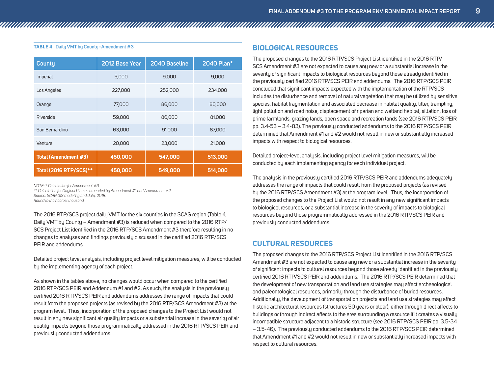#### **Table 4 Daily VMT by County–Amendment #3**

| <b>County</b>                 | 2012 Base Year | 2040 Baseline | 2040 Plan* |
|-------------------------------|----------------|---------------|------------|
| Imperial                      | 5,000          | 9,000         | 9,000      |
| Los Angeles                   | 227,000        | 252,000       | 234,000    |
| Orange                        | 77,000         | 86,000        | 80,000     |
| Riverside                     | 59,000         | 86,000        | 81,000     |
| San Bernardino                | 63,000         | 91,000        | 87,000     |
| Ventura                       | 20,000         | 23,000        | 21,000     |
| Total (Amendment #3)          | 450,000        | 547,000       | 513,000    |
| <b>Total (2016 RTP/SCS)**</b> | 450,000        | 549,000       | 514,000    |

*NOTE: \* Calculation for Amendment #3*

*\*\* Calculation for Original Plan as amended by Amendment #1 and Amendment #2 Source: SCAG GIS modeling and data, 2018.*

*Round to the nearest thousand*

The 2016 RTP/SCS project daily VMT for the six counties in the SCAG region (Table 4, Daily VMT by County – Amendment #3) is reduced when compared to the 2016 RTP/ SCS Project List identified in the 2016 RTP/SCS Amendment #3 therefore resulting in no changes to analyses and findings previously discussed in the certified 2016 RTP/SCS PEIR and addendums.

Detailed project level analysis, including project level mitigation measures, will be conducted by the implementing agency of each project.

As shown in the tables above, no changes would occur when compared to the certified 2016 RTP/SCS PEIR and Addendum #1 and #2. As such, the analysis in the previously certified 2016 RTP/SCS PEIR and addendums addresses the range of impacts that could result from the proposed projects (as revised by the 2016 RTP/SCS Amendment #3) at the program level. Thus, incorporation of the proposed changes to the Project List would not result in any new significant air quality impacts or a substantial increase in the severity of air quality impacts beyond those programmatically addressed in the 2016 RTP/SCS PEIR and previously conducted addendums.

#### **BIOLOGICAL RESOURCES**

The proposed changes to the 2016 RTP/SCS Project List identified in the 2016 RTP/ SCS Amendment #3 are not expected to cause any new or a substantial increase in the severity of significant impacts to biological resources beyond those already identified in the previously certified 2016 RTP/SCS PEIR and addendums. The 2016 RTP/SCS PEIR concluded that significant impacts expected with the implementation of the RTP/SCS includes the disturbance and removal of natural vegetation that may be utilized by sensitive species, habitat fragmentation and associated decrease in habitat quality, litter, trampling, light pollution and road noise, displacement of riparian and wetland habitat, siltation, loss of prime farmlands, grazing lands, open space and recreation lands (see 2016 RTP/SCS PEIR pp. 3.4-53 – 3.4-83). The previously conducted addendums to the 2016 RTP/SCS PEIR determined that Amendment #1 and #2 would not result in new or substantially increased impacts with respect to biological resources.

Detailed project-level analysis, including project level mitigation measures, will be conducted by each implementing agency for each individual project.

The analysis in the previously certified 2016 RTP/SCS PEIR and addendums adequately addresses the range of impacts that could result from the proposed projects (as revised by the 2016 RTP/SCS Amendment #3) at the program level. Thus, the incorporation of the proposed changes to the Project List would not result in any new significant impacts to biological resources, or a substantial increase in the severity of impacts to biological resources beyond those programmatically addressed in the 2016 RTP/SCS PEIR and previously conducted addendums.

#### **CULTURAL RESOURCES**

The proposed changes to the 2016 RTP/SCS Project List identified in the 2016 RTP/SCS Amendment #3 are not expected to cause any new or a substantial increase in the severity of significant impacts to cultural resources beyond those already identified in the previously certified 2016 RTP/SCS PEIR and addendums. The 2016 RTP/SCS PEIR determined that the development of new transportation and land use strategies may affect archaeological and paleontological resources, primarily through the disturbance of buried resources. Additionally, the development of transportation projects and land use strategies may affect historic architectural resources (structures 50 years or older), either through direct affects to buildings or through indirect affects to the area surrounding a resource if it creates a visually incompatible structure adjacent to a historic structure (see 2016 RTP/SCS PEIR pp. 3.5-34 – 3.5-46). The previously conducted addendums to the 2016 RTP/SCS PEIR determined that Amendment #1 and #2 would not result in new or substantially increased impacts with respect to cultural resources.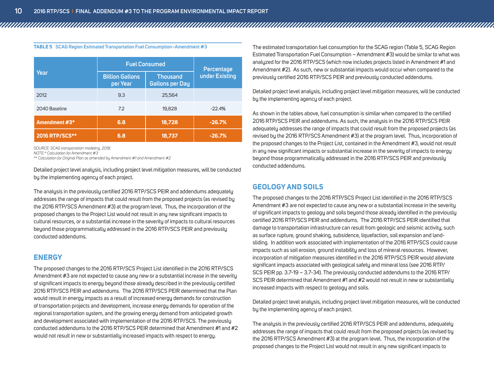|                | <b>Fuel Consumed</b>               | Percentage                                |                |
|----------------|------------------------------------|-------------------------------------------|----------------|
| Year           | <b>Billion Gallons</b><br>per Year | <b>Thousand</b><br><b>Gallons per Day</b> | under Existing |
| 2012           | 9.3                                | 25,564                                    |                |
| 2040 Baseline  | 7.2                                | 19,828                                    | $-22.4%$       |
| Amendment #3*  | 6.8                                | 18,728                                    | $-26.7%$       |
| 2016 RTP/SCS** | 6.8                                | 18,737                                    | $-26.7%$       |

**Table 5 SCAG Region Estimated Transportation Fuel Consumption–Amendment #3**

*SOURCE: SCAG transportation modeling, 2018.*

*NOTE:\* Calculation for Amendment #3*

*\*\* Calculation for Original Plan as amended by Amendment #1 and Amendment #2*

Detailed project level analysis, including project level mitigation measures, will be conducted by the implementing agency of each project.

The analysis in the previously certified 2016 RTP/SCS PEIR and addendums adequately addresses the range of impacts that could result from the proposed projects (as revised by the 2016 RTP/SCS Amendment #3) at the program level. Thus, the incorporation of the proposed changes to the Project List would not result in any new significant impacts to cultural resources, or a substantial increase in the severity of impacts to cultural resources beyond those programmatically addressed in the 2016 RTP/SCS PEIR and previously conducted addendums.

#### **ENERGY**

The proposed changes to the 2016 RTP/SCS Project List identified in the 2016 RTP/SCS Amendment #3 are not expected to cause any new or a substantial increase in the severity of significant impacts to energy beyond those already described in the previously certified 2016 RTP/SCS PEIR and addendums. The 2016 RTP/SCS PEIR determined that the Plan would result in energy impacts as a result of increased energy demands for construction of transportation projects and development, increase energy demands for operation of the regional transportation system, and the growing energy demand from anticipated growth and development associated with implementation of the 2016 RTP/SCS. The previously conducted addendums to the 2016 RTP/SCS PEIR determined that Amendment #1 and #2 would not result in new or substantially increased impacts with respect to energy.

The estimated transportation fuel consumption for the SCAG region (Table 5, SCAG Region Estimated Transportation Fuel Consumption – Amendment #3) would be similar to what was analyzed for the 2016 RTP/SCS (which now includes projects listed in Amendment #1 and Amendment #2). As such, new or substantial impacts would occur when compared to the previously certified 2016 RTP/SCS PEIR and previously conducted addendums.

Detailed project level analysis, including project level mitigation measures, will be conducted by the implementing agency of each project.

As shown in the tables above, fuel consumption is similar when compared to the certified 2016 RTP/SCS PEIR and addendums. As such, the analysis in the 2016 RTP/SCS PEIR adequately addresses the range of impacts that could result from the proposed projects (as revised by the 2016 RTP/SCS Amendment #3) at the program level. Thus, incorporation of the proposed changes to the Project List, contained in the Amendment #3, would not result in any new significant impacts or substantial increase in the severity of impacts to energy beyond those programmatically addressed in the 2016 RTP/SCS PEIR and previously conducted addendums.

#### **GEOLOGY AND SOILS**

The proposed changes to the 2016 RTP/SCS Project List identified in the 2016 RTP/SCS Amendment #3 are not expected to cause any new or a substantial increase in the severity of significant impacts to geology and soils beyond those already identified in the previously certified 2016 RTP/SCS PEIR and addendums. The 2016 RTP/SCS PEIR identified that damage to transportation infrastructure can result from geologic and seismic activity, such as surface rupture, ground shaking, subsidence, liquefaction, soil expansion and landsliding. In addition work associated with implementation of the 2016 RTP/SCS could cause impacts such as soil erosion, ground instability and loss of mineral resources. However, incorporation of mitigation measures identified in the 2016 RTP/SCS PEIR would alleviate significant impacts associated with geological safety and mineral loss (see 2016 RTP/ SCS PEIR pp. 3.7-19 – 3.7-34). The previously conducted addendums to the 2016 RTP/ SCS PEIR determined that Amendment #1 and #2 would not result in new or substantially increased impacts with respect to geology and soils.

Detailed project level analysis, including project level mitigation measures, will be conducted by the implementing agency of each project.

The analysis in the previously certified 2016 RTP/SCS PEIR and addendums, adequately addresses the range of impacts that could result from the proposed projects (as revised by the 2016 RTP/SCS Amendment #3) at the program level. Thus, the incorporation of the proposed changes to the Project List would not result in any new significant impacts to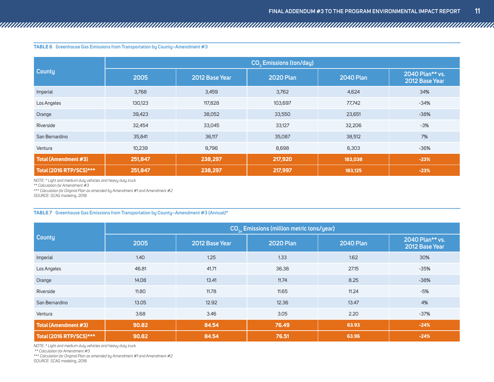#### **Table 6 Greenhouse Gas Emissions from Transportation by County–Amendment #3**

|                         | CO <sub>2</sub> Emissions (ton/day) |                |                  |                  |                                   |  |  |  |
|-------------------------|-------------------------------------|----------------|------------------|------------------|-----------------------------------|--|--|--|
| <b>County</b>           | 2005                                | 2012 Base Year | <b>2020 Plan</b> | <b>2040 Plan</b> | 2040 Plan** vs.<br>2012 Base Year |  |  |  |
| Imperial                | 3,768                               | 3,459          | 3,762            | 4,624            | 34%                               |  |  |  |
| Los Angeles             | 130,123                             | 117,828        | 103,697          | 77,742           | $-34%$                            |  |  |  |
| Orange                  | 39,423                              | 38,052         | 33,550           | 23,651           | $-38%$                            |  |  |  |
| Riverside               | 32,454                              | 33,045         | 33,127           | 32,206           | $-3%$                             |  |  |  |
| San Bernardino          | 35,841                              | 36,117         | 35,087           | 38,512           | 7%                                |  |  |  |
| Ventura                 | 10,239                              | 9,796          | 8,698            | 6,303            | $-36%$                            |  |  |  |
| Total (Amendment #3)    | 251,847                             | 238,297        | 217,920          | 183,038          | $-23%$                            |  |  |  |
| Total (2016 RTP/SCS)*** | 251,847                             | 238,297        | 217,997          | 183,125          | $-23%$                            |  |  |  |

*NOTE: \* Light and medium duty vehicles and heavy duty truck*

*\*\* Calculation for Amendment #3*

*\*\*\* Calculation for Original Plan as amended by Amendment #1 and Amendment #2*

*SOURCE: SCAG modeling, 2018.*

#### **Table 7 Greenhouse Gas Emissions from Transportation by County–Amendment #3 (Annual)\***

|                         | CO <sub>2</sub> Emissions (million metric tons/year) |                |                  |                  |                                   |  |  |  |
|-------------------------|------------------------------------------------------|----------------|------------------|------------------|-----------------------------------|--|--|--|
| <b>County</b>           | 2005                                                 | 2012 Base Year | <b>2020 Plan</b> | <b>2040 Plan</b> | 2040 Plan** vs.<br>2012 Base Year |  |  |  |
| Imperial                | 1.40                                                 | 1.25           | 1.33             | 1.62             | 30%                               |  |  |  |
| Los Angeles             | 46.81                                                | 41.71          | 36.36            | 27.15            | $-35%$                            |  |  |  |
| Orange                  | 14.08                                                | 13.41          | 11.74            | 8.25             | $-38%$                            |  |  |  |
| Riverside               | 11.80                                                | 11.78          | 11.65            | 11.24            | -5%                               |  |  |  |
| San Bernardino          | 13.05                                                | 12.92          | 12.36            | 13.47            | 4%                                |  |  |  |
| Ventura                 | 3.68                                                 | 3.46           | 3.05             | 2.20             | $-37%$                            |  |  |  |
| Total (Amendment #3)    | 90.82                                                | 84.54          | 76.49            | 63.93            | $-24%$                            |  |  |  |
| Total (2016 RTP/SCS)*** | 90.82                                                | 84.54          | 76.51            | 63.96            | $-24%$                            |  |  |  |

*NOTE: \* Light and medium duty vehicles and heavy duty truck*

 *\*\* Calculation for Amendment #3*

*\*\*\* Calculation for Original Plan as amended by Amendment #1 and Amendment #2 SOURCE: SCAG modeling, 2018.*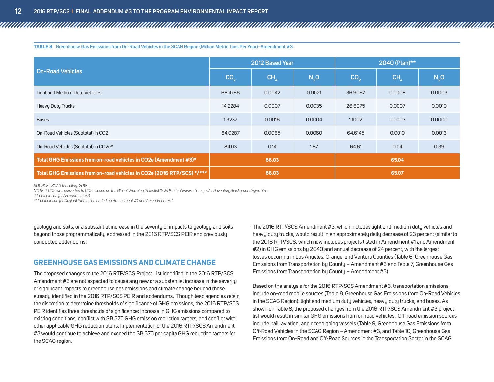**Table 8 Greenhouse Gas Emissions from On-Road Vehicles in the SCAG Region (Million Metric Tons Per Year)–Amendment #3**

|                                                                        | 2012 Based Year |                 |        | 2040 (Plan)**   |        |        |
|------------------------------------------------------------------------|-----------------|-----------------|--------|-----------------|--------|--------|
| On-Road Vehicles                                                       | CO <sub>2</sub> | CH <sub>A</sub> | N, O   | CO <sub>2</sub> | CH,    | N,0    |
| Light and Medium Duty Vehicles                                         | 68,4766         | 0.0042          | 0.0021 | 36,9067         | 0.0008 | 0.0003 |
| Heavy Duty Trucks                                                      | 14.2284         | 0.0007          | 0.0035 | 26.6075         | 0.0007 | 0.0010 |
| <b>Buses</b>                                                           | 1.3237          | 0.0016          | 0.0004 | 1.1002          | 0.0003 | 0.0000 |
| On-Road Vehicles (Subtotal) in CO2                                     | 84.0287         | 0.0065          | 0.0060 | 64.6145         | 0.0019 | 0.0013 |
| On-Road Vehicles (Subtotal) in CO2e*                                   | 84.03           | 0.14            | 1.87   | 64.61           | 0.04   | 0.39   |
| Total GHG Emissions from on-road vehicles in CO2e (Amendment #3)*      | 86.03           |                 | 65.04  |                 |        |        |
| Total GHG Emissions from on-road vehicles in CO2e (2016 RTP/SCS) */*** | 86.03           |                 | 65.07  |                 |        |        |

*SOURCE: SCAG Modeling, 2018.* 

*NOTE: \* CO2 was converted to CO2e based on the Global Warming Potential (GWP): http://www.arb.ca.gov/cc/inventory/background/gwp.htm* 

 *\*\* Calculation for Amendment #3*

*\*\*\* Calculation for Original Plan as amended by Amendment #1 and Amendment #2*

geology and soils, or a substantial increase in the severity of impacts to geology and soils beyond those programmatically addressed in the 2016 RTP/SCS PEIR and previously conducted addendums.

#### **GREENHOUSE GAS EMISSIONS AND CLIMATE CHANGE**

The proposed changes to the 2016 RTP/SCS Project List identified in the 2016 RTP/SCS Amendment #3 are not expected to cause any new or a substantial increase in the severity of significant impacts to greenhouse gas emissions and climate change beyond those already identified in the 2016 RTP/SCS PEIR and addendums. Though lead agencies retain the discretion to determine thresholds of significance of GHG emissions, the 2016 RTP/SCS PEIR identifies three thresholds of significance: increase in GHG emissions compared to existing conditions, conflict with SB 375 GHG emission reduction targets, and conflict with other applicable GHG reduction plans. Implementation of the 2016 RTP/SCS Amendment #3 would continue to achieve and exceed the SB 375 per capita GHG reduction targets for the SCAG region.

The 2016 RTP/SCS Amendment #3, which includes light and medium duty vehicles and heavy duty trucks, would result in an approximately daily decrease of 23 percent (similar to the 2016 RTP/SCS, which now includes projects listed in Amendment #1 and Amendment #2) in GHG emissions by 2040 and annual decrease of 24 percent, with the largest losses occurring in Los Angeles, Orange, and Ventura Counties (Table 6, Greenhouse Gas Emissions from Transportation by County – Amendment #3 and Table 7, Greenhouse Gas Emissions from Transportation by County – Amendment #3).

Based on the analysis for the 2016 RTP/SCS Amendment #3, transportation emissions include on-road mobile sources (Table 8, Greenhouse Gas Emissions from On-Road Vehicles in the SCAG Region): light and medium duty vehicles, heavy duty trucks, and buses. As shown on Table 8, the proposed changes from the 2016 RTP/SCS Amendment #3 project list would result in similar GHG emissions from on road vehicles. Off-road emission sources include: rail, aviation, and ocean going vessels (Table 9, Greenhouse Gas Emissions from Off-Road Vehicles in the SCAG Region – Amendment #3, and Table 10, Greenhouse Gas Emissions from On-Road and Off-Road Sources in the Transportation Sector in the SCAG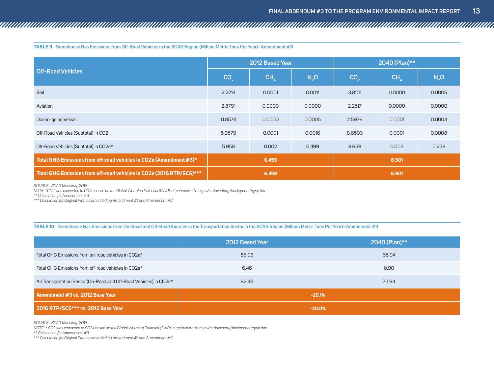**Table 9 Greenhouse Gas Emissions from Off-Road Vehicles in the SCAG Region (Million Metric Tons Per Year)–Amendment #3**

|                                                                      | 2012 Based Year |                 |        | 2040 (Plan)**   |        |        |
|----------------------------------------------------------------------|-----------------|-----------------|--------|-----------------|--------|--------|
| <b>Off-Road Vehicles</b>                                             | CO <sub>2</sub> | CH <sub>4</sub> | N, O   | CO <sub>2</sub> | CH     | N, O   |
| Rail                                                                 | 2.2214          | 0.0001          | 0.0011 | 3.8101          | 0.0000 | 0.0005 |
| Aviation                                                             | 2.8791          | 0.0000          | 0.0000 | 2.2517          | 0.0000 | 0.0000 |
| Ocean-going Vessel                                                   | 0.8574          | 0.0000          | 0.0005 | 2.5976          | 0.0001 | 0.0003 |
| Off-Road Vehicles (Subtotal) in CO2                                  | 5.9579          | 0.0001          | 0.0016 | 8.6593          | 0.0001 | 0.0008 |
| Off-Road Vehicles (Subtotal) in CO2e*                                | 5.958           | 0.002           | 0.499  | 8.659           | 0.003  | 0.238  |
| Total GHG Emissions from off-road vehicles in CO2e (Amendment #3)*   | 6.459           |                 | 8.901  |                 |        |        |
| Total GHG Emissions from off-road vehicles in CO2e (2016 RTP/SCS)*** | 6.459           |                 | 8.901  |                 |        |        |

*SOURCE: SCAG Modeling, 2018*

*NOTE: \*CO2 was converted to CO2e based on the Global Warming Potential (GWP): http://www.arb.ca.gov/cc/inventory/background/gwp.htm* 

*\*\* Calculation for Amendment #3*

*\*\*\* Calculation for Original Plan as amended by Amendment #1 and Amendment #2*

#### **Table 10 Greenhouse Gas Emissions from On-Road and Off-Road Sources in the Transportation Sector in the SCAG Region (Million Metric Tons Per Year)–Amendment #3**

|                                                                    | 2012 Based Year | 2040 (Plan)** |  |  |
|--------------------------------------------------------------------|-----------------|---------------|--|--|
| Total GHG Emissions from on-road vehicles in CO2e*                 | 86.03           | 65.04         |  |  |
| Total GHG Emissions from off-road vehicles in CO2e*                | 6.46            | 8.90          |  |  |
| All Transportation Sector (On-Road and Off-Road Vehicles) in CO2e* | 92.49           | 73.94         |  |  |
| Amendment #3 vs. 2012 Base Year                                    | $-20.1%$        |               |  |  |
| 2016 RTP/SCS*** vs. 2012 Base Year                                 | $-20.0%$        |               |  |  |

*SOURCE: SCAG Modeling, 2018*

*NOTE: \* CO2 was converted to CO2e based on the Global Warming Potential (GWP): http://www.arb.ca.gov/cc/inventory/background/gwp.htm* 

*\*\* Calculation for Amendment #3*

*\*\*\* Calculation for Original Plan as amended by Amendment #1 and Amendment #2*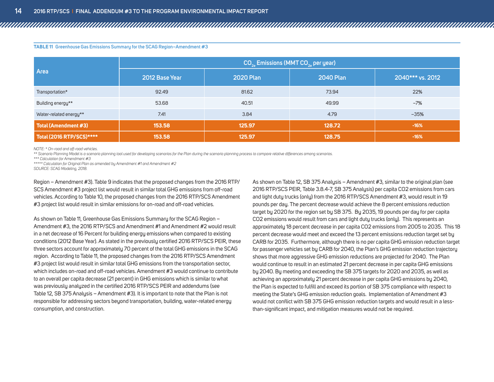|                             | $CO_{2a}$ Emissions (MMT $CO_{2a}$ per year) |                  |                  |                  |  |  |  |
|-----------------------------|----------------------------------------------|------------------|------------------|------------------|--|--|--|
| Area                        | 2012 Base Year                               | <b>2020 Plan</b> | <b>2040 Plan</b> | 2040*** vs. 2012 |  |  |  |
| Transportation*             | 92.49                                        | 81.62            | 73.94            | 22%              |  |  |  |
| Building energy**           | 53.68                                        | 40.51            | 49.99            | $-7%$            |  |  |  |
| Water-related energy**      | 7.41                                         | 3.84             | 4.79             | $-35%$           |  |  |  |
| <b>Total (Amendment #3)</b> | 153.58                                       | 125.97           | 128.72           | $-16%$           |  |  |  |
| Total (2016 RTP/SCS)*****   | 153.58                                       | 125.97           | 128.75           | $-16%$           |  |  |  |

**Table 11 Greenhouse Gas Emissions Summary for the SCAG Region–Amendment #3**

*NOTE: \* On-road and off-road vehicles.*

*\*\* Scenario Planning Model is a scenario planning tool used for developing scenarios for the Plan during the scenario planning process to compare relative differences among scenarios.* 

*\*\*\* Calculation for Amendment #3*

*\*\*\*\*\* Calculation for Original Plan as amended by Amendment #1 and Amendment #2 SOURCE: SCAG Modeling, 2018.*

Region – Amendment #3). Table 9 indicates that the proposed changes from the 2016 RTP/ SCS Amendment #3 project list would result in similar total GHG emissions from off-road vehicles. According to Table 10, the proposed changes from the 2016 RTP/SCS Amendment #3 project list would result in similar emissions for on-road and off-road vehicles.

As shown on Table 11, Greenhouse Gas Emissions Summary for the SCAG Region – Amendment #3, the 2016 RTP/SCS and Amendment #1 and Amendment #2 would result in a net decrease of 16 Percent for building energy emissions when compared to existing conditions (2012 Base Year). As stated in the previously certified 2016 RTP/SCS PEIR, these three sectors account for approximately 70 percent of the total GHG emissions in the SCAG region. According to Table 11, the proposed changes from the 2016 RTP/SCS Amendment #3 project list would result in similar total GHG emissions from the transportation sector, which includes on-road and off-road vehicles. Amendment #3 would continue to contribute to an overall per capita decrease (21 percent) in GHG emissions which is similar to what was previously analyzed in the certified 2016 RTP/SCS PEIR and addendums (see Table 12, SB 375 Analysis – Amendment #3). It is important to note that the Plan is not responsible for addressing sectors beyond transportation, building, water-related energy consumption, and construction.

As shown on Table 12, SB 375 Analysis – Amendment #3, similar to the original plan (see 2016 RTP/SCS PEIR, Table 3.8.4-7, SB 375 Analysis) per capita CO2 emissions from cars and light duty trucks (only) from the 2016 RTP/SCS Amendment #3, would result in 19 pounds per day. The percent decrease would achieve the 8 percent emissions reduction target by 2020 for the region set by SB 375. By 2035, 19 pounds per day for per capita CO2 emissions would result from cars and light duty trucks (only). This represents an approximately 18 percent decrease in per capita CO2 emissions from 2005 to 2035. This 18 percent decrease would meet and exceed the 13 percent emissions reduction target set by CARB for 2035. Furthermore, although there is no per capita GHG emission reduction target for passenger vehicles set by CARB for 2040, the Plan's GHG emission reduction trajectory shows that more aggressive GHG emission reductions are projected for 2040. The Plan would continue to result in an estimated 21 percent decrease in per capita GHG emissions by 2040. By meeting and exceeding the SB 375 targets for 2020 and 2035, as well as achieving an approximately 21 percent decrease in per capita GHG emissions by 2040, the Plan is expected to fulfill and exceed its portion of SB 375 compliance with respect to meeting the State's GHG emission reduction goals. Implementation of Amendment #3 would not conflict with SB 375 GHG emission reduction targets and would result in a lessthan-significant impact, and mitigation measures would not be required.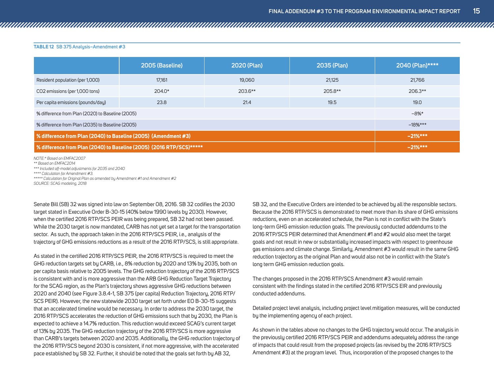|                                                                      | 2005 (Baseline) | 2020 (Plan) | 2035 (Plan) | 2040 (Plan)**** |
|----------------------------------------------------------------------|-----------------|-------------|-------------|-----------------|
| Resident population (per 1,000)                                      | 17,161          | 19,060      | 21,125      | 21,766          |
| CO2 emissions (per 1,000 tons)                                       | $204.0*$        | 203.6**     | 205.8**     | 206.3**         |
| Per capita emissions (pounds/day)                                    | 23.8            | 21.4        | 19.5        | 19.0            |
| % difference from Plan (2020) to Baseline (2005)                     | $-8%$ *         |             |             |                 |
| % difference from Plan (2035) to Baseline (2005)                     | $-18\%***$      |             |             |                 |
| % difference from Plan (2040) to Baseline (2005) (Amendment #3)      |                 |             |             | $-21%***$       |
| % difference from Plan (2040) to Baseline (2005) (2016 RTP/SCS)***** |                 |             |             | $-21%***$       |

*NOTE:\* Based on EMFAC2007* 

*\*\* Based on EMFAC2014*

*\*\*\* Included off-model adjustments for 2035 and 2040*

**Table 12 SB 375 Analysis–Amendment #3**

*\*\*\*\* Calculation for Amendment #3.*

*\*\*\*\*\* Calculation for Original Plan as amended by Amendment #1 and Amendment #2 SOURCE: SCAG modeling, 2018*

Senate Bill (SB) 32 was signed into law on September 08, 2016. SB 32 codifies the 2030 target stated in Executive Order B-30-15 (40% below 1990 levels by 2030). However, when the certified 2016 RTP/SCS PEIR was being prepared, SB 32 had not been passed. While the 2030 target is now mandated, CARB has not yet set a target for the transportation sector. As such, the approach taken in the 2016 RTP/SCS PEIR, i.e., analysis of the trajectory of GHG emissions reductions as a result of the 2016 RTP/SCS, is still appropriate.

As stated in the certified 2016 RTP/SCS PEIR, the 2016 RTP/SCS is required to meet the GHG reduction targets set by CARB, i.e., 8% reduction by 2020 and 13% by 2035, both on per capita basis relative to 2005 levels. The GHG reduction trajectory of the 2016 RTP/SCS is consistent with and is more aggressive than the ARB GHG Reduction Target Trajectory for the SCAG region, as the Plan's trajectory shows aggressive GHG reductions between 2020 and 2040 (see Figure 3.8.4-1, SB 375 (per capita) Reduction Trajectory, 2016 RTP/ SCS PEIR). However, the new statewide 2030 target set forth under EO B-30-15 suggests that an accelerated timeline would be necessary. In order to address the 2030 target, the 2016 RTP/SCS accelerates the reduction of GHG emissions such that by 2030, the Plan is expected to achieve a 14.7% reduction. This reduction would exceed SCAG's current target of 13% by 2035. The GHG reduction trajectory of the 2016 RTP/SCS is more aggressive than CARB's targets between 2020 and 2035. Additionally, the GHG reduction trajectory of the 2016 RTP/SCS beyond 2030 is consistent, if not more aggressive, with the accelerated pace established by SB 32. Further, it should be noted that the goals set forth by AB 32.

SB 32, and the Executive Orders are intended to be achieved by all the responsible sectors. Because the 2016 RTP/SCS is demonstrated to meet more than its share of GHG emissions reductions, even on an accelerated schedule, the Plan is not in conflict with the State's long-term GHG emission reduction goals. The previously conducted addendums to the 2016 RTP/SCS PEIR determined that Amendment #1 and #2 would also meet the target goals and not result in new or substantially increased impacts with respect to greenhouse gas emissions and climate change. Similarly, Amendment #3 would result in the same GHG reduction trajectory as the original Plan and would also not be in conflict with the State's long term GHG emission reduction goals.

The changes proposed in the 2016 RTP/SCS Amendment #3 would remain consistent with the findings stated in the certified 2016 RTP/SCS EIR and previously conducted addendums.

Detailed project level analysis, including project level mitigation measures, will be conducted by the implementing agency of each project.

As shown in the tables above no changes to the GHG trajectory would occur. The analysis in the previously certified 2016 RTP/SCS PEIR and addendums adequately address the range of impacts that could result from the proposed projects (as revised by the 2016 RTP/SCS Amendment #3) at the program level. Thus, incorporation of the proposed changes to the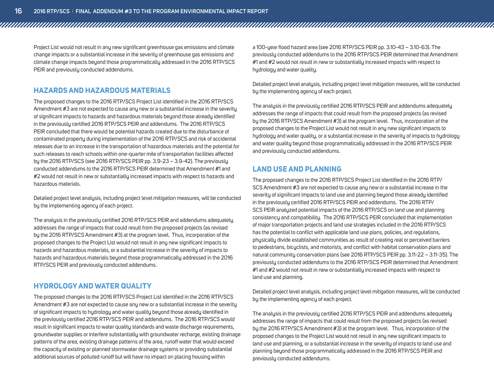Project List would not result in any new significant greenhouse gas emissions and climate change impacts or a substantial increase in the severity of greenhouse gas emissions and climate change impacts beyond those programmatically addressed in the 2016 RTP/SCS PEIR and previously conducted addendums.

#### **HAZARDS AND HAZARDOUS MATERIALS**

The proposed changes to the 2016 RTP/SCS Project List identified in the 2016 RTP/SCS Amendment #3 are not expected to cause any new or a substantial increase in the severity of significant impacts to hazards and hazardous materials beyond those already identified in the previously certified 2016 RTP/SCS PEIR and addendums. The 2016 RTP/SCS PEIR concluded that there would be potential hazards created due to the disturbance of contaminated property during implementation of the 2016 RTP/SCS and risk of accidental releases due to an increase in the transportation of hazardous materials and the potential for such releases to reach schools within one-quarter mile of transportation facilities affected by the 2016 RTP/SCS (see 2016 RTP/SCS PEIR pp. 3.9-23 – 3.9-42). The previously conducted addendums to the 2016 RTP/SCS PEIR determined that Amendment #1 and #2 would not result in new or substantially increased impacts with respect to hazards and hazardous materials.

Detailed project level analysis, including project level mitigation measures, will be conducted by the implementing agency of each project.

The analysis in the previously certified 2016 RTP/SCS PEIR and addendums adequately addresses the range of impacts that could result from the proposed projects (as revised by the 2016 RTP/SCS Amendment #3) at the program level. Thus, incorporation of the proposed changes to the Project List would not result in any new significant impacts to hazards and hazardous materials, or a substantial increase in the severity of impacts to hazards and hazardous materials beyond those programmatically addressed in the 2016 RTP/SCS PEIR and previously conducted addendums.

#### **HYDROLOGY AND WATER QUALITY**

The proposed changes to the 2016 RTP/SCS Project List identified in the 2016 RTP/SCS Amendment #3 are not expected to cause any new or a substantial increase in the severity of significant impacts to hydrology and water quality beyond those already identified in the previously certified 2016 RTP/SCS PEIR and addendums. The 2016 RTP/SCS would result in significant impacts to water quality standards and waste discharge requirements, groundwater supplies or interfere substantially with groundwater recharge, existing drainage patterns of the area, existing drainage patterns of the area, runoff water that would exceed the capacity of existing or planned stormwater drainage systems or providing substantial additional sources of polluted runoff but will have no impact on placing housing within

a 100-year flood hazard area (see 2016 RTP/SCS PEIR pp. 3.10-43 – 3.10-63). The previously conducted addendums to the 2016 RTP/SCS PEIR determined that Amendment #1 and #2 would not result in new or substantially increased impacts with respect to hydrology and water quality.

Detailed project level analysis, including project level mitigation measures, will be conducted by the implementing agency of each project.

The analysis in the previously certified 2016 RTP/SCS PEIR and addendums adequately addresses the range of impacts that could result from the proposed projects (as revised by the 2016 RTP/SCS Amendment #3) at the program level. Thus, incorporation of the proposed changes to the Project List would not result in any new significant impacts to hydrology and water quality, or a substantial increase in the severity of impacts to hydrology and water quality beyond those programmatically addressed in the 2016 RTP/SCS PEIR and previously conducted addendums.

#### **LAND USE AND PLANNING**

The proposed changes to the 2016 RTP/SCS Project List identified in the 2016 RTP/ SCS Amendment #3 are not expected to cause any new or a substantial increase in the severity of significant impacts to land use and planning beyond those already identified in the previously certified 2016 RTP/SCS PEIR and addendums. The 2016 RTP/ SCS PEIR analyzed potential impacts of the 2016 RTP/SCS on land use and planning consistency and compatibility. The 2016 RTP/SCS PEIR concluded that implementation of major transportation projects and land use strategies included in the 2016 RTP/SCS has the potential to conflict with applicable land use plans, policies, and regulations, physically divide established communities as result of creating real or perceived barriers to pedestrians, bicyclists, and motorists, and conflict with habitat conservation plans and natural community conservation plans (see 2016 RTP/SCS PEIR pp. 3.11-22 – 3.11-35). The previously conducted addendums to the 2016 RTP/SCS PEIR determined that Amendment #1 and #2 would not result in new or substantially increased impacts with respect to land use and planning.

Detailed project level analysis, including project level mitigation measures, will be conducted by the implementing agency of each project.

The analysis in the previously certified 2016 RTP/SCS PEIR and addendums adequately addresses the range of impacts that could result from the proposed projects (as revised by the 2016 RTP/SCS Amendment #3) at the program level. Thus, incorporation of the proposed changes to the Project List would not result in any new significant impacts to land use and planning, or a substantial increase in the severity of impacts to land use and planning beyond those programmatically addressed in the 2016 RTP/SCS PEIR and previously conducted addendums.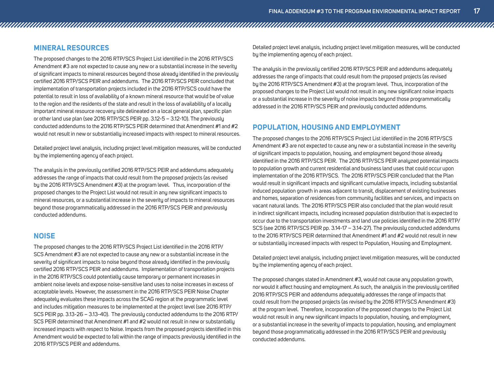#### **MINERAL RESOURCES**

The proposed changes to the 2016 RTP/SCS Project List identified in the 2016 RTP/SCS Amendment #3 are not expected to cause any new or a substantial increase in the severity of significant impacts to mineral resources beyond those already identified in the previously certified 2016 RTP/SCS PEIR and addendums. The 2016 RTP/SCS PEIR concluded that implementation of transportation projects included in the 2016 RTP/SCS could have the potential to result in loss of availability of a known mineral resource that would be of value to the region and the residents of the state and result in the loss of availability of a locally important mineral resource recovery site delineated on a local general plan, specific plan or other land use plan (see 2016 RTP/SCS PEIR pp. 3.12-5 – 3.12-10). The previously conducted addendums to the 2016 RTP/SCS PEIR determined that Amendment #1 and #2 would not result in new or substantially increased impacts with respect to mineral resources.

Detailed project level analysis, including project level mitigation measures, will be conducted by the implementing agency of each project.

The analysis in the previously certified 2016 RTP/SCS PEIR and addendums adequately addresses the range of impacts that could result from the proposed projects (as revised by the 2016 RTP/SCS Amendment #3) at the program level. Thus, incorporation of the proposed changes to the Project List would not result in any new significant impacts to mineral resources, or a substantial increase in the severity of impacts to mineral resources beyond those programmatically addressed in the 2016 RTP/SCS PEIR and previously conducted addendums.

#### **NOISE**

The proposed changes to the 2016 RTP/SCS Project List identified in the 2016 RTP/ SCS Amendment #3 are not expected to cause any new or a substantial increase in the severity of significant impacts to noise beyond those already identified in the previously certified 2016 RTP/SCS PEIR and addendums. Implementation of transportation projects in the 2016 RTP/SCS could potentially cause temporary or permanent increases in ambient noise levels and expose noise-sensitive land uses to noise increases in excess of acceptable levels. However, the assessment in the 2016 RTP/SCS PEIR Noise Chapter adequately evaluates these impacts across the SCAG region at the programmatic level and includes mitigation measures to be implemented at the project level (see 2016 RTP/ SCS PEIR pp. 3.13-26 – 3.13-40). The previously conducted addendums to the 2016 RTP/ SCS PEIR determined that Amendment #1 and #2 would not result in new or substantially increased impacts with respect to Noise. Impacts from the proposed projects identified in this Amendment would be expected to fall within the range of impacts previously identified in the 2016 RTP/SCS PEIR and addendums.

Detailed project level analysis, including project level mitigation measures, will be conducted by the implementing agency of each project.

The analysis in the previously certified 2016 RTP/SCS PEIR and addendums adequately addresses the range of impacts that could result from the proposed projects (as revised by the 2016 RTP/SCS Amendment #3) at the program level. Thus, incorporation of the proposed changes to the Project List would not result in any new significant noise impacts or a substantial increase in the severity of noise impacts beyond those programmatically addressed in the 2016 RTP/SCS PEIR and previously conducted addendums.

#### **POPULATION, HOUSING AND EMPLOYMENT**

The proposed changes to the 2016 RTP/SCS Project List identified in the 2016 RTP/SCS Amendment #3 are not expected to cause any new or a substantial increase in the severity of significant impacts to population, housing, and employment beyond those already identified in the 2016 RTP/SCS PEIR. The 2016 RTP/SCS PEIR analyzed potential impacts to population growth and current residential and business land uses that could occur upon implementation of the 2016 RTP/SCS. The 2016 RTP/SCS PEIR concluded that the Plan would result in significant impacts and significant cumulative impacts, including substantial induced population growth in areas adjacent to transit, displacement of existing businesses and homes, separation of residences from community facilities and services, and impacts on vacant natural lands. The 2016 RTP/SCS PEIR also concluded that the plan would result in indirect significant impacts, including increased population distribution that is expected to occur due to the transportation investments and land use policies identified in the 2016 RTP/ SCS (see 2016 RTP/SCS PEIR pp. 3.14-17 - 3.14-27). The previously conducted addendums to the 2016 RTP/SCS PEIR determined that Amendment #1 and #2 would not result in new or substantially increased impacts with respect to Population, Housing and Employment.

Detailed project level analysis, including project level mitigation measures, will be conducted by the implementing agency of each project.

The proposed changes stated in Amendment #3, would not cause any population growth, nor would it affect housing and employment. As such, the analysis in the previously certified 2016 RTP/SCS PEIR and addendums adequately addresses the range of impacts that could result from the proposed projects (as revised by the 2016 RTP/SCS Amendment #3) at the program level. Therefore, incorporation of the proposed changes to the Project List would not result in any new significant impacts to population, housing, and employment, or a substantial increase in the severity of impacts to population, housing, and employment beyond those programmatically addressed in the 2016 RTP/SCS PEIR and previously conducted addendums.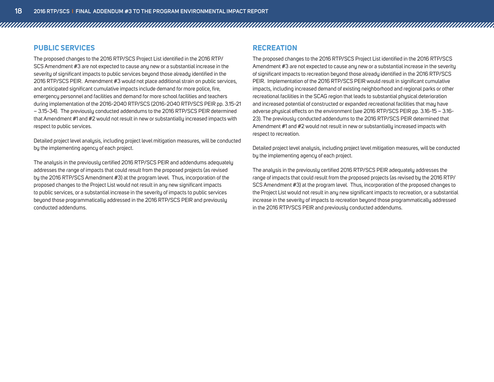#### **PUBLIC SERVICES**

The proposed changes to the 2016 RTP/SCS Project List identified in the 2016 RTP/ SCS Amendment #3 are not expected to cause any new or a substantial increase in the severity of significant impacts to public services beyond those already identified in the 2016 RTP/SCS PEIR. Amendment #3 would not place additional strain on public services, and anticipated significant cumulative impacts include demand for more police, fire, emergency personnel and facilities and demand for more school facilities and teachers during implementation of the 2016-2040 RTP/SCS (2016-2040 RTP/SCS PEIR pp. 3.15-21 – 3.15-34). The previously conducted addendums to the 2016 RTP/SCS PEIR determined that Amendment #1 and #2 would not result in new or substantially increased impacts with respect to public services.

Detailed project level analysis, including project level mitigation measures, will be conducted by the implementing agency of each project.

The analysis in the previously certified 2016 RTP/SCS PEIR and addendums adequately addresses the range of impacts that could result from the proposed projects (as revised by the 2016 RTP/SCS Amendment #3) at the program level. Thus, incorporation of the proposed changes to the Project List would not result in any new significant impacts to public services, or a substantial increase in the severity of impacts to public services beyond those programmatically addressed in the 2016 RTP/SCS PEIR and previously conducted addendums.

#### **RECREATION**

The proposed changes to the 2016 RTP/SCS Project List identified in the 2016 RTP/SCS Amendment #3 are not expected to cause any new or a substantial increase in the severity of significant impacts to recreation beyond those already identified in the 2016 RTP/SCS PEIR. Implementation of the 2016 RTP/SCS PEIR would result in significant cumulative impacts, including increased demand of existing neighborhood and regional parks or other recreational facilities in the SCAG region that leads to substantial physical deterioration and increased potential of constructed or expanded recreational facilities that may have adverse physical effects on the environment (see 2016 RTP/SCS PEIR pp. 3.16-15 – 3.16- 23). The previously conducted addendums to the 2016 RTP/SCS PEIR determined that Amendment #1 and #2 would not result in new or substantially increased impacts with respect to recreation.

Detailed project level analysis, including project level mitigation measures, will be conducted by the implementing agency of each project.

The analysis in the previously certified 2016 RTP/SCS PEIR adequately addresses the range of impacts that could result from the proposed projects (as revised by the 2016 RTP/ SCS Amendment #3) at the program level. Thus, incorporation of the proposed changes to the Project List would not result in any new significant impacts to recreation, or a substantial increase in the severity of impacts to recreation beyond those programmatically addressed in the 2016 RTP/SCS PEIR and previously conducted addendums.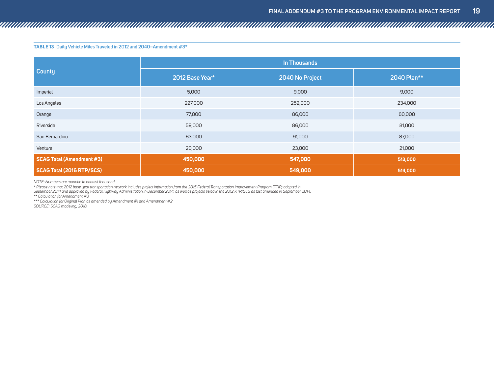**Table 13 Daily Vehicle Miles Traveled in 2012 and 2040–Amendment #3\***

|                                  | In Thousands    |                 |             |  |  |
|----------------------------------|-----------------|-----------------|-------------|--|--|
| <b>County</b>                    | 2012 Base Year* | 2040 No Project | 2040 Plan** |  |  |
| Imperial                         | 5,000           | 9,000           | 9,000       |  |  |
| Los Angeles                      | 227,000         | 252,000         | 234,000     |  |  |
| Orange                           | 77,000          | 86,000          | 80,000      |  |  |
| Riverside                        | 59,000          | 86,000          | 81,000      |  |  |
| San Bernardino                   | 63,000          | 91,000          | 87,000      |  |  |
| Ventura                          | 20,000          | 23,000          | 21,000      |  |  |
| <b>SCAG Total (Amendment #3)</b> | 450,000         |                 | 513,000     |  |  |
| <b>SCAG Total (2016 RTP/SCS)</b> | 450,000         | 549,000         | 514,000     |  |  |

*NOTE: Numbers are rounded to nearest thousand.*

*\* Please note that 2012 base year transportation network includes project information from the 2015 Federal Transportation Improvement Program (FTIP) adopted in* 

*September 2014 and approved by Federal Highway Administration in December 2014, as well as projects listed in the 2012 RTP/SCS as last amended in September 2014.*

*\*\* Calculation for Amendment #3*

*\*\*\* Calculation for Original Plan as amended by Amendment #1 and Amendment #2*

*SOURCE: SCAG modeling, 2018.*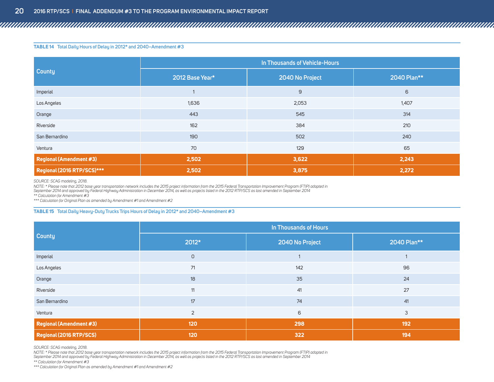#### **Table 14 Total Daily Hours of Delay in 2012\* and 2040–Amendment #3**

|                                | In Thousands of Vehicle-Hours |                 |             |  |  |
|--------------------------------|-------------------------------|-----------------|-------------|--|--|
| <b>County</b>                  | 2012 Base Year*               | 2040 No Project | 2040 Plan** |  |  |
| Imperial                       |                               | 9               | 6           |  |  |
| Los Angeles                    | 1,636                         | 2,053           | 1,407       |  |  |
| Orange                         | 443                           | 545             | 314         |  |  |
| Riverside                      | 162                           | 384             | 210         |  |  |
| San Bernardino                 | 190                           | 502             | 240         |  |  |
| Ventura                        | 70                            | 129             | 65          |  |  |
| <b>Regional (Amendment #3)</b> | 2,502                         | 3,622           | 2,243       |  |  |
| Regional (2016 RTP/SCS)***     | 2,502                         | 2,272           |             |  |  |

*SOURCE: SCAG modeling, 2018.*

*NOTE: \* Please note that 2012 base year transportation network includes the 2015 project information from the 2015 Federal Transportation Improvement Program (FTIP) adopted in* 

*September 2014 and approved by Federal Highway Administration in December 2014, as well as projects listed in the 2012 RTP/SCS as last amended in September 2014*

*\*\* Calculation for Amendment #3*

*\*\*\* Calculation for Original Plan as amended by Amendment #1 and Amendment #2*

#### **Table 15 Total Daily Heavy-Duty Trucks Trips Hours of Delay in 2012\* and 2040–Amendment #3**

|                                | In Thousands of Hours |                 |             |  |  |
|--------------------------------|-----------------------|-----------------|-------------|--|--|
| <b>County</b>                  | 2012*                 | 2040 No Project | 2040 Plan** |  |  |
| Imperial                       | $\mathsf D$           |                 |             |  |  |
| Los Angeles                    | 71                    | 142             | 96          |  |  |
| Orange                         | 18                    | 35              | 24          |  |  |
| Riverside                      | 11                    | 41              | 27          |  |  |
| San Bernardino                 | 17                    | 74              | 41          |  |  |
| Ventura                        | $\overline{2}$        | 6               | 3           |  |  |
| <b>Regional (Amendment #3)</b> | 120                   | 298             | 192         |  |  |
| Regional (2016 RTP/SCS)        | 120                   | 322             | 194         |  |  |

*SOURCE: SCAG modeling, 2018.*

NOTE: \* Please note that 2012 base year transportation network includes the 2015 project information from the 2015 Federal Transportation Improvement Program (FTIP) adopted in<br>September 2014 and approved by Federal Highway

*\*\* Calculation for Amendment #3*

*\*\*\* Calculation for Original Plan as amended by Amendment #1 and Amendment #2*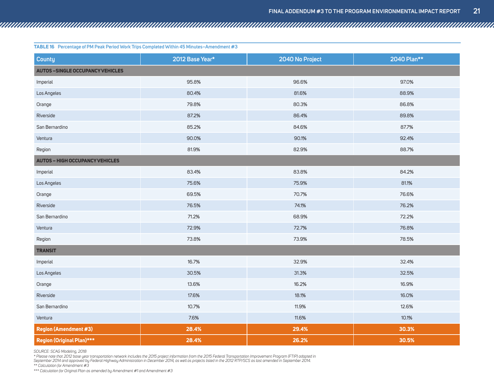| <b>County</b>                           | 2012 Base Year* | 2040 No Project | 2040 Plan** |  |  |  |
|-----------------------------------------|-----------------|-----------------|-------------|--|--|--|
| <b>AUTOS -SINGLE OCCUPANCY VEHICLES</b> |                 |                 |             |  |  |  |
| Imperial                                | 95.8%           | 96.6%           | 97.0%       |  |  |  |
| Los Angeles                             | 80.4%           | 81.6%           | 88.9%       |  |  |  |
| Orange                                  | 79.8%           | 80.3%           | 86.8%       |  |  |  |
| Riverside                               | 87.2%           | 86.4%           | 89.8%       |  |  |  |
| San Bernardino                          | 85.2%           | 84.6%           | 87.7%       |  |  |  |
| Ventura                                 | 90.0%           | 90.1%           | 92.4%       |  |  |  |
| Region                                  | 81.9%           | 82.9%           | 88.7%       |  |  |  |
| <b>AUTOS - HIGH OCCUPANCY VEHICLES</b>  |                 |                 |             |  |  |  |
| Imperial                                | 83.4%           | 83.8%           | 84.2%       |  |  |  |
| Los Angeles                             | 75.6%           | 75.9%           | 81.1%       |  |  |  |
| Orange                                  | 69.5%           | 70.7%           | 76.6%       |  |  |  |
| Riverside                               | 76.5%           | 74.1%           | 76.2%       |  |  |  |
| San Bernardino                          | 71.2%           | 68.9%           | 72.2%       |  |  |  |
| Ventura                                 | 72.9%           | 72.7%           | 76.8%       |  |  |  |
| Region                                  | 73.8%           | 73.9%           | 78.5%       |  |  |  |
| <b>TRANSIT</b>                          |                 |                 |             |  |  |  |
| Imperial                                | 16.7%           | 32.9%           | 32.4%       |  |  |  |
| Los Angeles                             | 30.5%           | 31.3%           | 32.5%       |  |  |  |
| Orange                                  | 13.6%           | 16.2%           | 16.9%       |  |  |  |
| Riverside                               | 17.6%           | 18.1%           | 16.0%       |  |  |  |
| San Bernardino                          | 10.7%           | 11.9%           | 12.6%       |  |  |  |
| Ventura                                 | 7.6%            | 11.6%           | 10.1%       |  |  |  |
| <b>Region (Amendment #3)</b>            | 28.4%           | 29.4%           | 30.3%       |  |  |  |
| Region (Original Plan)***               | 28.4%           | 26.2%           | 30.5%       |  |  |  |

*SOURCE: SCAG Modeling, 2018*

\* Please note that 2012 base year transportation network includes the 2015 project information from the 2015 Federal Transportation Improvement Program (FTIP) adopted in<br>September 2014 and approved by Federal Highway Admin *\*\* Calculation for Amendment #3*

*\*\*\* Calculation for Original Plan as amended by Amendment #1 and Amendment #3*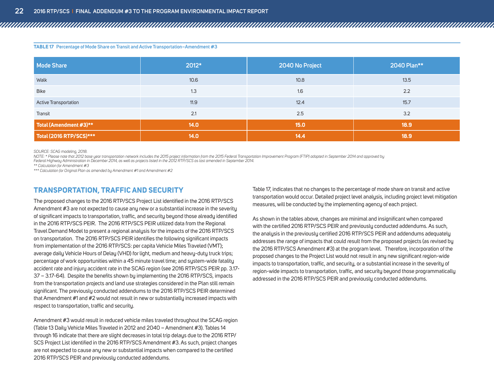**Table 17 Percentage of Mode Share on Transit and Active Transportation–Amendment #3**

| <b>Mode Share</b>       | 2012* | 2040 No Project |      |  |
|-------------------------|-------|-----------------|------|--|
| Walk                    | 10.6  | 10.8            | 13.5 |  |
| <b>Bike</b>             | 1.3   | 1.6             | 2.2  |  |
| Active Transportation   | 11.9  | 12.4            | 15.7 |  |
| Transit                 | 2.1   | 2.5             | 3.2  |  |
| Total (Amendment #3)**  | 14.0  | 15.0            | 18.9 |  |
| Total (2016 RTP/SCS)*** | 14.0  | 14.4            | 18.9 |  |

*SOURCE: SCAG modeling, 2018.* 

*NOTE: \* Please note that 2012 base year transportation network includes the 2015 project information from the 2015 Federal Transportation Improvement Program (FTIP) adopted in September 2014 and approved by* 

*Federal Highway Administration in December 2014, as well as projects listed in the 2012 RTP/SCS as last amended in September 2014.*

*\*\* Calculation for Amendment #3*

*\*\*\* Calculation for Original Plan as amended by Amendment #1 and Amendment #2*

#### **TRANSPORTATION, TRAFFIC AND SECURITY**

The proposed changes to the 2016 RTP/SCS Project List identified in the 2016 RTP/SCS Amendment #3 are not expected to cause any new or a substantial increase in the severity of significant impacts to transportation, traffic, and security beyond those already identified in the 2016 RTP/SCS PEIR. The 2016 RTP/SCS PEIR utilized data from the Regional Travel Demand Model to present a regional analysis for the impacts of the 2016 RTP/SCS on transportation. The 2016 RTP/SCS PEIR identifies the following significant impacts from implementation of the 2016 RTP/SCS: per capita Vehicle Miles Traveled (VMT); average daily Vehicle Hours of Delay (VHD) for light, medium and heavy-duty truck trips; percentage of work opportunities within a 45 minute travel time; and system-wide fatality accident rate and injury accident rate in the SCAG region (see 2016 RTP/SCS PEIR pp. 3.17- 37 – 3.17-64). Despite the benefits shown by implementing the 2016 RTP/SCS, impacts from the transportation projects and land use strategies considered in the Plan still remain significant. The previously conducted addendums to the 2016 RTP/SCS PEIR determined that Amendment #1 and #2 would not result in new or substantially increased impacts with respect to transportation, traffic and security.

Amendment #3 would result in reduced vehicle miles traveled throughout the SCAG region (Table 13 Daily Vehicle Miles Traveled in 2012 and 2040 – Amendment #3). Tables 14 through 16 indicate that there are slight decreases in total trip delays due to the 2016 RTP/ SCS Project List identified in the 2016 RTP/SCS Amendment #3. As such, project changes are not expected to cause any new or substantial impacts when compared to the certified 2016 RTP/SCS PEIR and previously conducted addendums.

Table 17, indicates that no changes to the percentage of mode share on transit and active transportation would occur. Detailed project level analysis, including project level mitigation measures, will be conducted by the implementing agency of each project.

As shown in the tables above, changes are minimal and insignificant when compared with the certified 2016 RTP/SCS PEIR and previously conducted addendums. As such, the analysis in the previously certified 2016 RTP/SCS PEIR and addendums adequately addresses the range of impacts that could result from the proposed projects (as revised by the 2016 RTP/SCS Amendment #3) at the program level. Therefore, incorporation of the proposed changes to the Project List would not result in any new significant region-wide impacts to transportation, traffic, and security, or a substantial increase in the severity of region-wide impacts to transportation, traffic, and security beyond those programmatically addressed in the 2016 RTP/SCS PEIR and previously conducted addendums.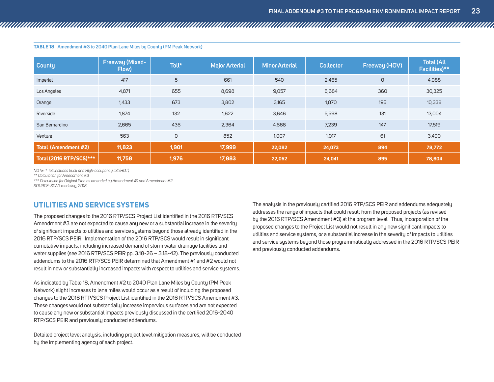| <b>County</b>               | Freeway (Mixed-<br>Flow) | Toll*           | <b>Major Arterial</b> | <b>Minor Arterial</b> | <b>Collector</b> | Freeway (HOV) | <b>Total (All</b><br>Facilities)** |
|-----------------------------|--------------------------|-----------------|-----------------------|-----------------------|------------------|---------------|------------------------------------|
| Imperial                    | 417                      | $5\overline{)}$ | 661                   | 540                   | 2,465            | $\cup$        | 4,088                              |
| Los Angeles                 | 4,871                    | 655             | 8,698                 | 9,057                 | 6,684            | 360           | 30,325                             |
| Orange                      | 1,433                    | 673             | 3,802                 | 3,165                 | 1,070            | 195           | 10,338                             |
| Riverside                   | 1,874                    | 132             | 1,622                 | 3,646                 | 5,598            | 131           | 13,004                             |
| San Bernardino              | 2,665                    | 436             | 2,364                 | 4,668                 | 7,239            | 147           | 17,519                             |
| Ventura                     | 563                      | $\circ$         | 852                   | 1,007                 | 1,017            | 61            | 3,499                              |
| <b>Total (Amendment #2)</b> | 11,823                   | 1,901           | 17,999                | 22,082                | 24,073           | 894           | 78,772                             |
| Total (2016 RTP/SCS)***     | 11,758                   | 1,976           | 17,883                | 22,052                | 24,041           | 895           | 78,604                             |

<span id="page-24-0"></span>**Table 18 Amendment #3 to 2040 Plan Lane Miles by County (PM Peak Network)**

*NOTE: \* Toll includes truck and High-occupancy toll (HOT)*

*\*\* Calculation for Amendment #3*

*\*\*\* Calculation for Original Plan as amended by Amendment #1 and Amendment #2*

*SOURCE: SCAG modeling, 2018.* 

#### **UTILITIES AND SERVICE SYSTEMS**

The proposed changes to the 2016 RTP/SCS Project List identified in the 2016 RTP/SCS Amendment #3 are not expected to cause any new or a substantial increase in the severity of significant impacts to utilities and service systems beyond those already identified in the 2016 RTP/SCS PEIR. Implementation of the 2016 RTP/SCS would result in significant cumulative impacts, including increased demand of storm water drainage facilities and water supplies (see 2016 RTP/SCS PEIR pp. 3.18-26 – 3.18-42). The previously conducted addendums to the 2016 RTP/SCS PEIR determined that Amendment #1 and #2 would not result in new or substantially increased impacts with respect to utilities and service systems.

As indicated by Table 18, Amendment #2 to 2040 Plan Lane Miles by County (PM Peak Network) slight increases to lane miles would occur as a result of including the proposed changes to the 2016 RTP/SCS Project List identified in the 2016 RTP/SCS Amendment #3. These changes would not substantially increase impervious surfaces and are not expected to cause any new or substantial impacts previously discussed in the certified 2016-2040 RTP/SCS PEIR and previously conducted addendums.

Detailed project level analysis, including project level mitigation measures, will be conducted by the implementing agency of each project.

The analysis in the previously certified 2016 RTP/SCS PEIR and addendums adequately addresses the range of impacts that could result from the proposed projects (as revised by the 2016 RTP/SCS Amendment #3) at the program level. Thus, incorporation of the proposed changes to the Project List would not result in any new significant impacts to utilities and service systems, or a substantial increase in the severity of impacts to utilities and service systems beyond those programmatically addressed in the 2016 RTP/SCS PEIR and previously conducted addendums.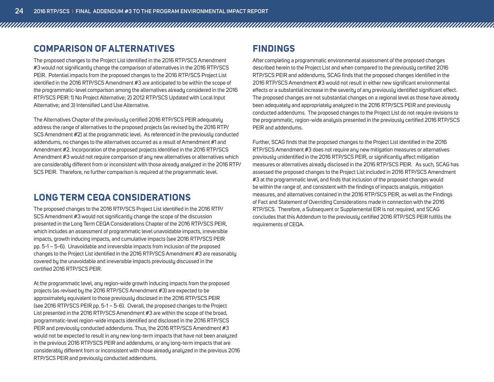#### <span id="page-25-0"></span>**COMPARISON OF ALTERNATIVES**

The proposed changes to the Project List identified in the 2016 RTP/SCS Amendment #3 would not significantly change the comparison of alternatives in the 2016 RTP/SCS PEIR. Potential impacts from the proposed changes to the 2016 RTP/SCS Project List identified in the 2016 RTP/SCS Amendment #3 are anticipated to be within the scope of the programmatic-level comparison among the alternatives already considered in the 2016 RTP/SCS PEIR: 1) No Project Alternative; 2) 2012 RTP/SCS Updated with Local Input Alternative; and 3) Intensified Land Use Alternative.

The Alternatives Chapter of the previously certified 2016 RTP/SCS PEIR adequately address the range of alternatives to the proposed projects (as revised by the 2016 RTP/ SCS Amendment #2) at the programmatic level. As referenced in the previously conducted addendums, no changes to the alternatives occurred as a result of Amendment #1 and Amendment #2. Incorporation of the proposed projects identified in the 2016 RTP/SCS Amendment #3 would not require comparison of any new alternatives or alternatives which are considerably different from or inconsistent with those already analyzed in the 2016 RTP/ SCS PEIR. Therefore, no further comparison is required at the programmatic level.

#### **LONG TERM CEQA CONSIDERATIONS**

The proposed changes to the 2016 RTP/SCS Project List identified in the 2016 RTP/ SCS Amendment #3 would not significantly change the scope of the discussion presented in the Long Term CEQA Considerations Chapter of the 2016 RTP/SCS PEIR, which includes an assessment of programmatic level unavoidable impacts, irreversible impacts, growth inducing impacts, and cumulative impacts (see 2016 RTP/SCS PEIR pp. 5-1 – 5-6). Unavoidable and irreversible impacts from inclusion of the proposed changes to the Project List identified in the 2016 RTP/SCS Amendment #3 are reasonably covered by the unavoidable and irreversible impacts previously discussed in the certified 2016 RTP/SCS PEIR.

At the programmatic level, any region-wide growth inducing impacts from the proposed projects (as revised by the 2016 RTP/SCS Amendment #3) are expected to be approximately equivalent to those previously disclosed in the 2016 RTP/SCS PEIR (see 2016 RTP/SCS PEIR pp. 5-1 – 5-6). Overall, the proposed changes to the Project List presented in the 2016 RTP/SCS Amendment #3 are within the scope of the broad, programmatic-level region-wide impacts identified and disclosed in the 2016 RTP/SCS PEIR and previously conducted addendums. Thus, the 2016 RTP/SCS Amendment #3 would not be expected to result in any new long-term impacts that have not been analyzed in the previous 2016 RTP/SCS PEIR and addendums, or any long-term impacts that are considerably different from or inconsistent with those already analyzed in the previous 2016 RTP/SCS PEIR and previously conducted addendums.

#### **FINDINGS**

After completing a programmatic environmental assessment of the proposed changes described herein to the Project List and when compared to the previously certified 2016 RTP/SCS PEIR and addendums, SCAG finds that the proposed changes identified in the 2016 RTP/SCS Amendment #3 would not result in either new significant environmental effects or a substantial increase in the severity of any previously identified significant effect. The proposed changes are not substantial changes on a regional level as those have already been adequately and appropriately analyzed in the 2016 RTP/SCS PEIR and previously conducted addendums. The proposed changes to the Project List do not require revisions to the programmatic, region-wide analysis presented in the previously certified 2016 RTP/SCS PEIR and addendums.

Further, SCAG finds that the proposed changes to the Project List identified in the 2016 RTP/SCS Amendment #3 does not require any new mitigation measures or alternatives previously unidentified in the 2016 RTP/SCS PEIR, or significantly affect mitigation measures or alternatives already disclosed in the 2016 RTP/SCS PEIR. As such, SCAG has assessed the proposed changes to the Project List included in 2016 RTP/SCS Amendment #3 at the programmatic level, and finds that inclusion of the proposed changes would be within the range of, and consistent with the findings of impacts analysis, mitigation measures, and alternatives contained in the 2016 RTP/SCS PEIR, as well as the Findings of Fact and Statement of Overriding Considerations made in connection with the 2016 RTP/SCS. Therefore, a Subsequent or Supplemental EIR is not required, and SCAG concludes that this Addendum to the previously certified 2016 RTP/SCS PEIR fulfills the requirements of CEQA.